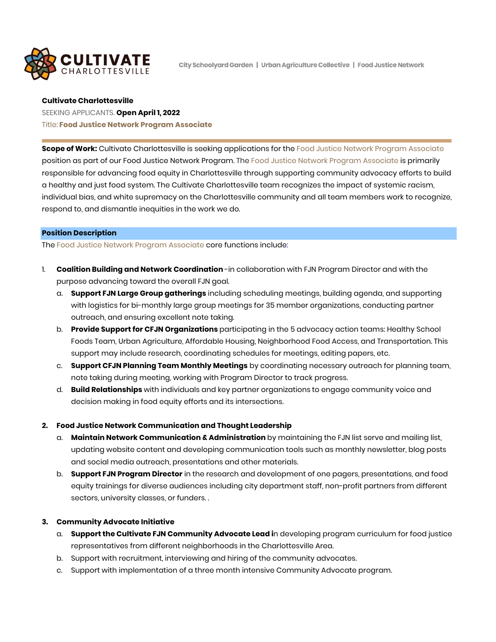

City Schoolvard Garden | Urban Aariculture Collective | Food Justice Network

#### **Cultivate Charlottesville**

# SEEKING APPLICANTS. **Open April 1, 2022** Title: **Food Justice Network Program Associate**

**Scope of Work:** Cultivate Charlottesville is seeking applications for the Food Justice Network Program Associate position as part of our Food Justice Network Program. The Food Justice Network Program Associate is primarily responsible for advancing food equity in Charlottesville through supporting community advocacy efforts to build a healthy and just food system. The Cultivate Charlottesville team recognizes the impact of systemic racism, individual bias, and white supremacy on the Charlottesville community and all team members work to recognize, respond to, and dismantle inequities in the work we do.

### **Position Description**

The Food Justice Network Program Associate core functions include:

- 1. **Coalition Building and Network Coordination** -in collaboration with FJN Program Director and with the purpose advancing toward the overall FJN goal.
	- a. **Support FJN Large Group gatherings** including scheduling meetings, building agenda, and supporting with logistics for bi-monthly large group meetings for 35 member organizations, conducting partner outreach, and ensuring excellent note taking.
	- b. **Provide Support for CFJN Organizations** participating in the 5 advocacy action teams: Healthy School Foods Team, Urban Agriculture, Affordable Housing, Neighborhood Food Access, and Transportation. This support may include research, coordinating schedules for meetings, editing papers, etc.
	- c. **Support CFJN Planning Team Monthly Meetings** by coordinating necessary outreach for planning team, note taking during meeting, working with Program Director to track progress.
	- d. **Build Relationships** with individuals and key partner organizations to engage community voice and decision making in food equity efforts and its intersections.

### **2. Food Justice Network Communication and Thought Leadership**

- a. **Maintain Network Communication & Administration** by maintaining the FJN list serve and mailing list, updating website content and developing communication tools such as monthly newsletter, blog posts and social media outreach, presentations and other materials.
- b. **Support FJN Program Director** in the research and development of one pagers, presentations, and food equity trainings for diverse audiences including city department staff, non-profit partners from different sectors, university classes, or funders. .

### **3. Community Advocate Initiative**

- a. **Support the Cultivate FJN Community Advocate Lead i**n developing program curriculum for food justice representatives from different neighborhoods in the Charlottesville Area.
- b. Support with recruitment, interviewing and hiring of the community advocates.
- c. Support with implementation of a three month intensive Community Advocate program.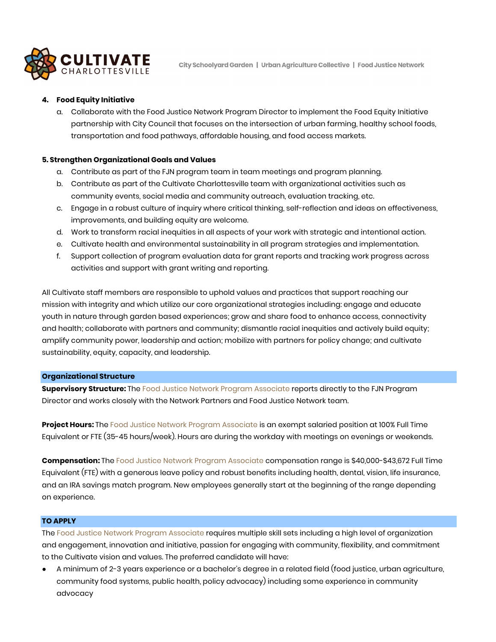

City Schoolvard Garden | Urban Aariculture Collective | Food Justice Network

# **4. Food Equity Initiative**

a. Collaborate with the Food Justice Network Program Director to implement the Food Equity Initiative partnership with City Council that focuses on the intersection of urban farming, healthy school foods, transportation and food pathways, affordable housing, and food access markets.

### **5. Strengthen Organizational Goals and Values**

- a. Contribute as part of the FJN program team in team meetings and program planning.
- b. Contribute as part of the Cultivate Charlottesville team with organizational activities such as community events, social media and community outreach, evaluation tracking, etc.
- c. Engage in a robust culture of inquiry where critical thinking, self-reflection and ideas on effectiveness, improvements, and building equity are welcome.
- d. Work to transform racial inequities in all aspects of your work with strategic and intentional action.
- e. Cultivate health and environmental sustainability in all program strategies and implementation.
- f. Support collection of program evaluation data for grant reports and tracking work progress across activities and support with grant writing and reporting.

All Cultivate staff members are responsible to uphold values and practices that support reaching our mission with integrity and which utilize our core organizational strategies including: engage and educate youth in nature through garden based experiences; grow and share food to enhance access, connectivity and health; collaborate with partners and community; dismantle racial inequities and actively build equity; amplify community power, leadership and action; mobilize with partners for policy change; and cultivate sustainability, equity, capacity, and leadership.

### **Organizational Structure**

**Supervisory Structure:** The Food Justice Network Program Associate reports directly to the FJN Program Director and works closely with the Network Partners and Food Justice Network team.

**Project Hours:** The Food Justice Network Program Associate is an exempt salaried position at 100% Full Time Equivalent or FTE (35-45 hours/week). Hours are during the workday with meetings on evenings or weekends.

**Compensation:** The Food Justice Network Program Associate compensation range is \$40,000-\$43,672 Full Time Equivalent (FTE) with a generous leave policy and robust benefits including health, dental, vision, life insurance, and an IRA savings match program. New employees generally start at the beginning of the range depending on experience.

### **TO APPLY**

The Food Justice Network Program Associate requires multiple skill sets including a high level of organization and engagement, innovation and initiative, passion for engaging with community, flexibility, and commitment to the Cultivate vision and values. The preferred candidate will have:

● A minimum of 2-3 years experience or a bachelor's degree in a related field (food justice, urban agriculture, community food systems, public health, policy advocacy) including some experience in community advocacy